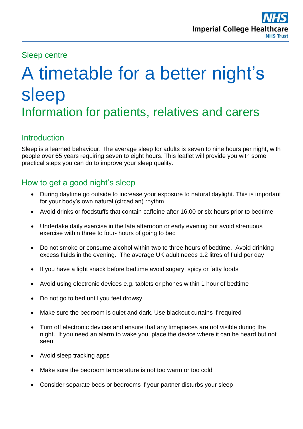### Sleep centre

# A timetable for a better night's sleep Information for patients, relatives and carers

## **Introduction**

Sleep is a learned behaviour. The average sleep for adults is seven to nine hours per night, with people over 65 years requiring seven to eight hours. This leaflet will provide you with some practical steps you can do to improve your sleep quality.

## How to get a good night's sleep

- During daytime go outside to increase your exposure to natural daylight. This is important for your body's own natural (circadian) rhythm
- Avoid drinks or foodstuffs that contain caffeine after 16.00 or six hours prior to bedtime
- Undertake daily exercise in the late afternoon or early evening but avoid strenuous exercise within three to four- hours of going to bed
- Do not smoke or consume alcohol within two to three hours of bedtime. Avoid drinking excess fluids in the evening. The average UK adult needs 1.2 litres of fluid per day
- If you have a light snack before bedtime avoid sugary, spicy or fatty foods
- Avoid using electronic devices e.g. tablets or phones within 1 hour of bedtime
- Do not go to bed until you feel drowsy
- Make sure the bedroom is quiet and dark. Use blackout curtains if required
- Turn off electronic devices and ensure that any timepieces are not visible during the night. If you need an alarm to wake you, place the device where it can be heard but not seen
- Avoid sleep tracking apps
- Make sure the bedroom temperature is not too warm or too cold
- Consider separate beds or bedrooms if your partner disturbs your sleep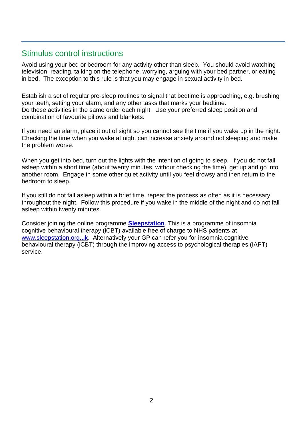### Stimulus control instructions

Avoid using your bed or bedroom for any activity other than sleep. You should avoid watching television, reading, talking on the telephone, worrying, arguing with your bed partner, or eating in bed. The exception to this rule is that you may engage in sexual activity in bed.

Establish a set of regular pre-sleep routines to signal that bedtime is approaching, e.g. brushing your teeth, setting your alarm, and any other tasks that marks your bedtime. Do these activities in the same order each night. Use your preferred sleep position and combination of favourite pillows and blankets.

If you need an alarm, place it out of sight so you cannot see the time if you wake up in the night. Checking the time when you wake at night can increase anxiety around not sleeping and make the problem worse.

When you get into bed, turn out the lights with the intention of going to sleep. If you do not fall asleep within a short time (about twenty minutes, without checking the time), get up and go into another room. Engage in some other quiet activity until you feel drowsy and then return to the bedroom to sleep.

If you still do not fall asleep within a brief time, repeat the process as often as it is necessary throughout the night. Follow this procedure if you wake in the middle of the night and do not fall asleep within twenty minutes.

Consider joining the online programme **[Sleepstation](https://www.sleepstation.org.uk/)**. This is a programme of insomnia cognitive behavioural therapy (iCBT) available free of charge to NHS patients at [www.sleepstation.org.uk.](http://www.sleepstation.org.uk/) Alternatively your GP can refer you for insomnia cognitive behavioural therapy (iCBT) through the improving access to psychological therapies (IAPT) service.